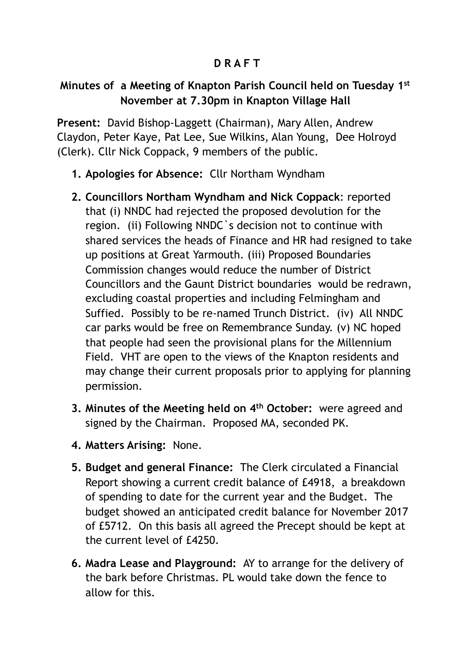## **D R A F T**

## **Minutes of a Meeting of Knapton Parish Council held on Tuesday 1st November at 7.30pm in Knapton Village Hall**

**Present:** David Bishop-Laggett (Chairman), Mary Allen, Andrew Claydon, Peter Kaye, Pat Lee, Sue Wilkins, Alan Young, Dee Holroyd (Clerk). Cllr Nick Coppack, 9 members of the public.

- **1. Apologies for Absence:** Cllr Northam Wyndham
- **2. Councillors Northam Wyndham and Nick Coppack**: reported that (i) NNDC had rejected the proposed devolution for the region. (ii) Following NNDC`s decision not to continue with shared services the heads of Finance and HR had resigned to take up positions at Great Yarmouth. (iii) Proposed Boundaries Commission changes would reduce the number of District Councillors and the Gaunt District boundaries would be redrawn, excluding coastal properties and including Felmingham and Suffied. Possibly to be re-named Trunch District. (iv) All NNDC car parks would be free on Remembrance Sunday. (v) NC hoped that people had seen the provisional plans for the Millennium Field. VHT are open to the views of the Knapton residents and may change their current proposals prior to applying for planning permission.
- **3. Minutes of the Meeting held on 4th October:** were agreed and signed by the Chairman. Proposed MA, seconded PK.
- **4. Matters Arising:** None.
- **5. Budget and general Finance:** The Clerk circulated a Financial Report showing a current credit balance of £4918, a breakdown of spending to date for the current year and the Budget. The budget showed an anticipated credit balance for November 2017 of £5712. On this basis all agreed the Precept should be kept at the current level of £4250.
- **6. Madra Lease and Playground:** AY to arrange for the delivery of the bark before Christmas. PL would take down the fence to allow for this.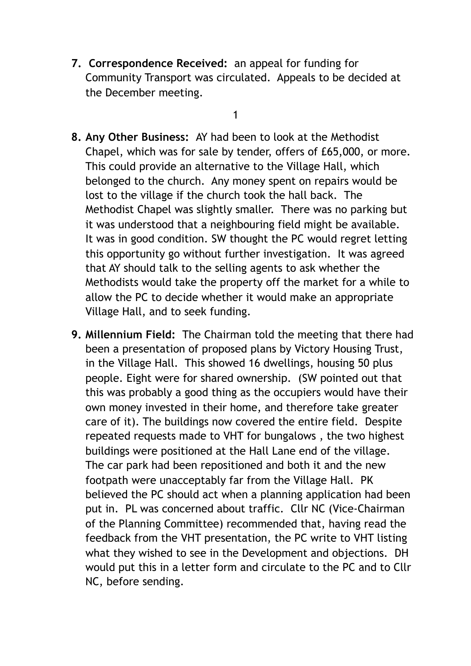**7. Correspondence Received:** an appeal for funding for Community Transport was circulated. Appeals to be decided at the December meeting.

1

- **8. Any Other Business:** AY had been to look at the Methodist Chapel, which was for sale by tender, offers of £65,000, or more. This could provide an alternative to the Village Hall, which belonged to the church. Any money spent on repairs would be lost to the village if the church took the hall back. The Methodist Chapel was slightly smaller. There was no parking but it was understood that a neighbouring field might be available. It was in good condition. SW thought the PC would regret letting this opportunity go without further investigation. It was agreed that AY should talk to the selling agents to ask whether the Methodists would take the property off the market for a while to allow the PC to decide whether it would make an appropriate Village Hall, and to seek funding.
- **9. Millennium Field:** The Chairman told the meeting that there had been a presentation of proposed plans by Victory Housing Trust, in the Village Hall. This showed 16 dwellings, housing 50 plus people. Eight were for shared ownership. (SW pointed out that this was probably a good thing as the occupiers would have their own money invested in their home, and therefore take greater care of it). The buildings now covered the entire field. Despite repeated requests made to VHT for bungalows , the two highest buildings were positioned at the Hall Lane end of the village. The car park had been repositioned and both it and the new footpath were unacceptably far from the Village Hall. PK believed the PC should act when a planning application had been put in. PL was concerned about traffic. Cllr NC (Vice-Chairman of the Planning Committee) recommended that, having read the feedback from the VHT presentation, the PC write to VHT listing what they wished to see in the Development and objections. DH would put this in a letter form and circulate to the PC and to Cllr NC, before sending.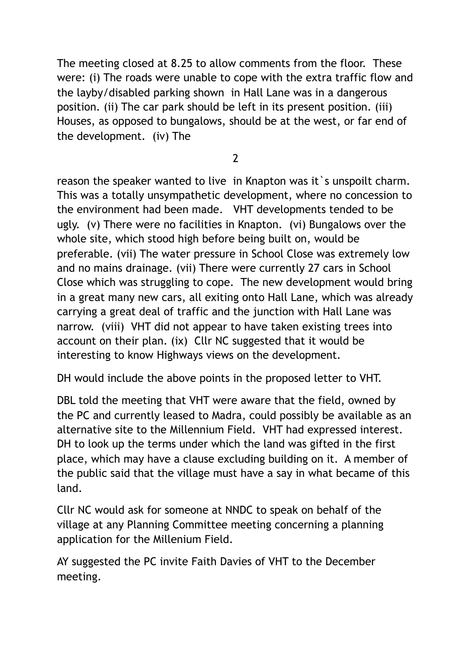The meeting closed at 8.25 to allow comments from the floor. These were: (i) The roads were unable to cope with the extra traffic flow and the layby/disabled parking shown in Hall Lane was in a dangerous position. (ii) The car park should be left in its present position. (iii) Houses, as opposed to bungalows, should be at the west, or far end of the development. (iv) The

2

reason the speaker wanted to live in Knapton was it s unspoilt charm. This was a totally unsympathetic development, where no concession to the environment had been made. VHT developments tended to be ugly. (v) There were no facilities in Knapton. (vi) Bungalows over the whole site, which stood high before being built on, would be preferable. (vii) The water pressure in School Close was extremely low and no mains drainage. (vii) There were currently 27 cars in School Close which was struggling to cope. The new development would bring in a great many new cars, all exiting onto Hall Lane, which was already carrying a great deal of traffic and the junction with Hall Lane was narrow. (viii) VHT did not appear to have taken existing trees into account on their plan. (ix) Cllr NC suggested that it would be interesting to know Highways views on the development.

DH would include the above points in the proposed letter to VHT.

DBL told the meeting that VHT were aware that the field, owned by the PC and currently leased to Madra, could possibly be available as an alternative site to the Millennium Field. VHT had expressed interest. DH to look up the terms under which the land was gifted in the first place, which may have a clause excluding building on it. A member of the public said that the village must have a say in what became of this land.

Cllr NC would ask for someone at NNDC to speak on behalf of the village at any Planning Committee meeting concerning a planning application for the Millenium Field.

AY suggested the PC invite Faith Davies of VHT to the December meeting.